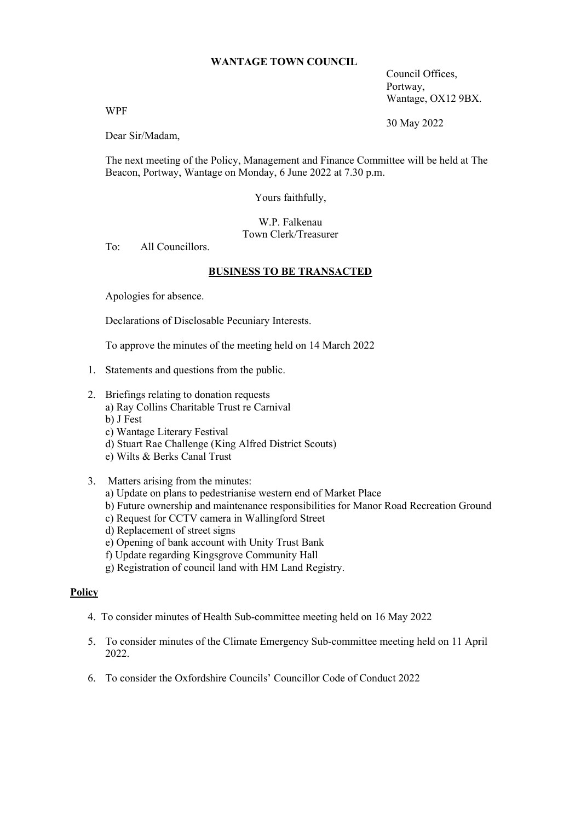### **WANTAGE TOWN COUNCIL**

Council Offices, Portway, Wantage, OX12 9BX.

WPF

30 May 2022

Dear Sir/Madam,

The next meeting of the Policy, Management and Finance Committee will be held at The Beacon, Portway, Wantage on Monday, 6 June 2022 at 7.30 p.m.

Yours faithfully,

W.P. Falkenau Town Clerk/Treasurer

To: All Councillors.

### **BUSINESS TO BE TRANSACTED**

Apologies for absence.

Declarations of Disclosable Pecuniary Interests.

To approve the minutes of the meeting held on 14 March 2022

- 1. Statements and questions from the public.
- 2. Briefings relating to donation requests a) Ray Collins Charitable Trust re Carnival b) J Fest c) Wantage Literary Festival
	- d) Stuart Rae Challenge (King Alfred District Scouts)
	- e) Wilts & Berks Canal Trust
- 3. Matters arising from the minutes:
	- a) Update on plans to pedestrianise western end of Market Place
	- b) Future ownership and maintenance responsibilities for Manor Road Recreation Ground
	- c) Request for CCTV camera in Wallingford Street
	- d) Replacement of street signs
	- e) Opening of bank account with Unity Trust Bank
	- f) Update regarding Kingsgrove Community Hall
	- g) Registration of council land with HM Land Registry.

## **Policy**

- 4. To consider minutes of Health Sub-committee meeting held on 16 May 2022
- 5. To consider minutes of the Climate Emergency Sub-committee meeting held on 11 April 2022.
- 6. To consider the Oxfordshire Councils' Councillor Code of Conduct 2022